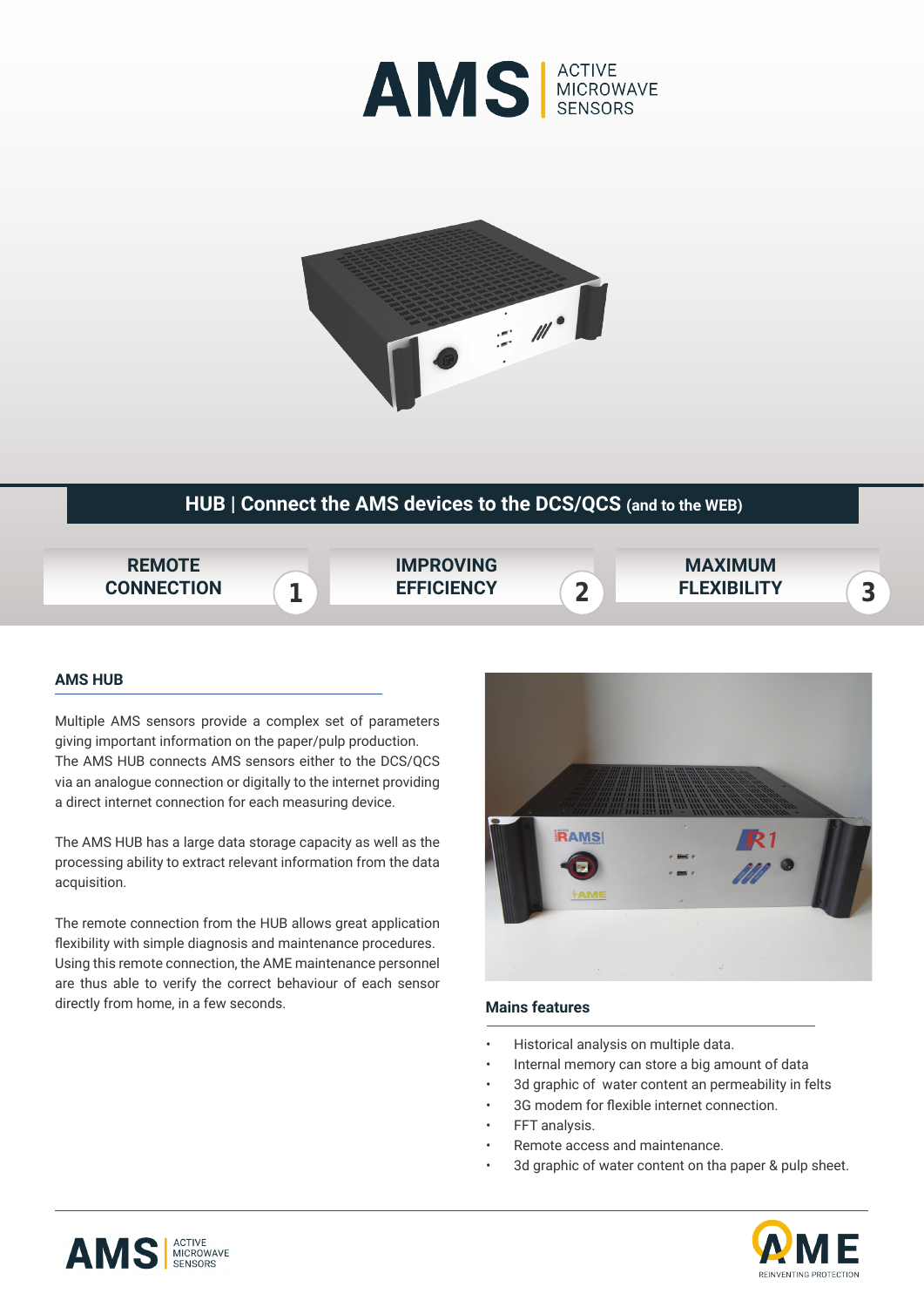



## **HUB | Connect the AMS devices to the DCS/QCS (and to the WEB)**



## **AMS HUB**

Multiple AMS sensors provide a complex set of parameters giving important information on the paper/pulp production. The AMS HUB connects AMS sensors either to the DCS/QCS via an analogue connection or digitally to the internet providing a direct internet connection for each measuring device.

The AMS HUB has a large data storage capacity as well as the processing ability to extract relevant information from the data acquisition.

The remote connection from the HUB allows great application flexibility with simple diagnosis and maintenance procedures. Using this remote connection, the AME maintenance personnel are thus able to verify the correct behaviour of each sensor directly from home, in a few seconds.



## $\ddot{\phantom{0}}$ **Mains features**

- Historical analysis on multiple data.
- Internal memory can store a big amount of data
- 3d graphic of water content an permeability in felts
- 3G modem for flexible internet connection.
- FFT analysis.
- Remote access and maintenance.
- 3d graphic of water content on tha paper & pulp sheet.